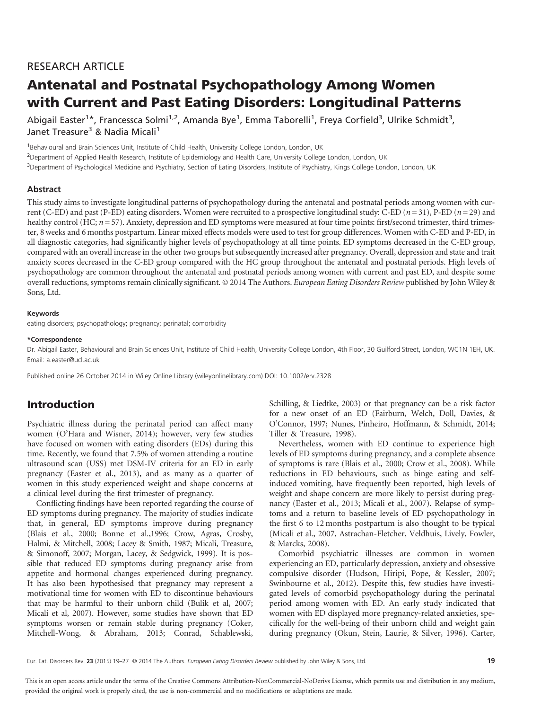# RESEARCH ARTICLE

# Antenatal and Postnatal Psychopathology Among Women with Current and Past Eating Disorders: Longitudinal Patterns

Abigail Easter<sup>1\*</sup>, Francessca Solmi<sup>1,2</sup>, Amanda Bye<sup>1</sup>, Emma Taborelli<sup>1</sup>, Freya Corfield<sup>3</sup>, Ulrike Schmidt<sup>3</sup>, Janet Treasure<sup>3</sup> & Nadia Micali<sup>1</sup>

1 Behavioural and Brain Sciences Unit, Institute of Child Health, University College London, London, UK 2 Department of Applied Health Research, Institute of Epidemiology and Health Care, University College London, London, UK <sup>3</sup>Department of Psychological Medicine and Psychiatry, Section of Eating Disorders, Institute of Psychiatry, Kings College London, London, UK

### Abstract

This study aims to investigate longitudinal patterns of psychopathology during the antenatal and postnatal periods among women with current (C-ED) and past (P-ED) eating disorders. Women were recruited to a prospective longitudinal study: C-ED ( $n=31$ ), P-ED ( $n=29$ ) and healthy control (HC;  $n = 57$ ). Anxiety, depression and ED symptoms were measured at four time points: first/second trimester, third trimester, 8 weeks and 6 months postpartum. Linear mixed effects models were used to test for group differences. Women with C-ED and P-ED, in all diagnostic categories, had significantly higher levels of psychopathology at all time points. ED symptoms decreased in the C-ED group, compared with an overall increase in the other two groups but subsequently increased after pregnancy. Overall, depression and state and trait anxiety scores decreased in the C-ED group compared with the HC group throughout the antenatal and postnatal periods. High levels of psychopathology are common throughout the antenatal and postnatal periods among women with current and past ED, and despite some overall reductions, symptoms remain clinically significant. © 2014 The Authors. European Eating Disorders Review published by John Wiley & Sons, Ltd.

#### Keywords

eating disorders; psychopathology; pregnancy; perinatal; comorbidity

#### \*Correspondence

Dr. Abigail Easter, Behavioural and Brain Sciences Unit, Institute of Child Health, University College London, 4th Floor, 30 Guilford Street, London, WC1N 1EH, UK. Email: a.easter@ucl.ac.uk

Published online 26 October 2014 in Wiley Online Library (wileyonlinelibrary.com) DOI: 10.1002/erv.2328

# Introduction

Psychiatric illness during the perinatal period can affect many women (O'Hara and Wisner, 2014); however, very few studies have focused on women with eating disorders (EDs) during this time. Recently, we found that 7.5% of women attending a routine ultrasound scan (USS) met DSM-IV criteria for an ED in early pregnancy (Easter et al., 2013), and as many as a quarter of women in this study experienced weight and shape concerns at a clinical level during the first trimester of pregnancy.

Conflicting findings have been reported regarding the course of ED symptoms during pregnancy. The majority of studies indicate that, in general, ED symptoms improve during pregnancy (Blais et al., 2000; Bonne et al.,1996; Crow, Agras, Crosby, Halmi, & Mitchell, 2008; Lacey & Smith, 1987; Micali, Treasure, & Simonoff, 2007; Morgan, Lacey, & Sedgwick, 1999). It is possible that reduced ED symptoms during pregnancy arise from appetite and hormonal changes experienced during pregnancy. It has also been hypothesised that pregnancy may represent a motivational time for women with ED to discontinue behaviours that may be harmful to their unborn child (Bulik et al, 2007; Micali et al, 2007). However, some studies have shown that ED symptoms worsen or remain stable during pregnancy (Coker, Mitchell-Wong, & Abraham, 2013; Conrad, Schablewski, Schilling, & Liedtke, 2003) or that pregnancy can be a risk factor for a new onset of an ED (Fairburn, Welch, Doll, Davies, & O'Connor, 1997; Nunes, Pinheiro, Hoffmann, & Schmidt, 2014; Tiller & Treasure, 1998).

Nevertheless, women with ED continue to experience high levels of ED symptoms during pregnancy, and a complete absence of symptoms is rare (Blais et al., 2000; Crow et al., 2008). While reductions in ED behaviours, such as binge eating and selfinduced vomiting, have frequently been reported, high levels of weight and shape concern are more likely to persist during pregnancy (Easter et al., 2013; Micali et al., 2007). Relapse of symptoms and a return to baseline levels of ED psychopathology in the first 6 to 12 months postpartum is also thought to be typical (Micali et al., 2007, Astrachan-Fletcher, Veldhuis, Lively, Fowler, & Marcks, 2008).

Comorbid psychiatric illnesses are common in women experiencing an ED, particularly depression, anxiety and obsessive compulsive disorder (Hudson, Hiripi, Pope, & Kessler, 2007; Swinbourne et al., 2012). Despite this, few studies have investigated levels of comorbid psychopathology during the perinatal period among women with ED. An early study indicated that women with ED displayed more pregnancy-related anxieties, specifically for the well-being of their unborn child and weight gain during pregnancy (Okun, Stein, Laurie, & Silver, 1996). Carter,

This is an open access article under the terms of the [Creative Commons Attribution-NonCommercial-NoDerivs](http://creativecommons.org/licenses/by-nc-nd/4.0/) License, which permits use and distribution in any medium, provided the original work is properly cited, the use is non-commercial and no modifications or adaptations are made.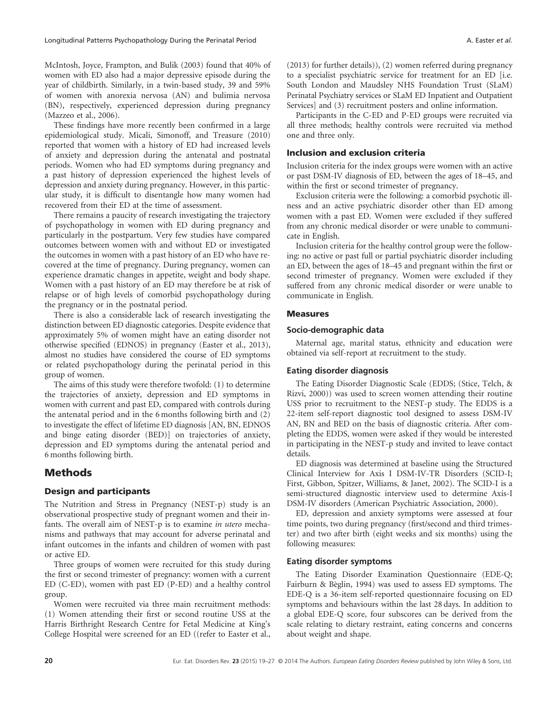McIntosh, Joyce, Frampton, and Bulik (2003) found that 40% of women with ED also had a major depressive episode during the year of childbirth. Similarly, in a twin-based study, 39 and 59% of women with anorexia nervosa (AN) and bulimia nervosa (BN), respectively, experienced depression during pregnancy (Mazzeo et al., 2006).

These findings have more recently been confirmed in a large epidemiological study. Micali, Simonoff, and Treasure (2010) reported that women with a history of ED had increased levels of anxiety and depression during the antenatal and postnatal periods. Women who had ED symptoms during pregnancy and a past history of depression experienced the highest levels of depression and anxiety during pregnancy. However, in this particular study, it is difficult to disentangle how many women had recovered from their ED at the time of assessment.

There remains a paucity of research investigating the trajectory of psychopathology in women with ED during pregnancy and particularly in the postpartum. Very few studies have compared outcomes between women with and without ED or investigated the outcomes in women with a past history of an ED who have recovered at the time of pregnancy. During pregnancy, women can experience dramatic changes in appetite, weight and body shape. Women with a past history of an ED may therefore be at risk of relapse or of high levels of comorbid psychopathology during the pregnancy or in the postnatal period.

There is also a considerable lack of research investigating the distinction between ED diagnostic categories. Despite evidence that approximately 5% of women might have an eating disorder not otherwise specified (EDNOS) in pregnancy (Easter et al., 2013), almost no studies have considered the course of ED symptoms or related psychopathology during the perinatal period in this group of women.

The aims of this study were therefore twofold: (1) to determine the trajectories of anxiety, depression and ED symptoms in women with current and past ED, compared with controls during the antenatal period and in the 6 months following birth and (2) to investigate the effect of lifetime ED diagnosis [AN, BN, EDNOS and binge eating disorder (BED)] on trajectories of anxiety, depression and ED symptoms during the antenatal period and 6 months following birth.

# Methods

#### Design and participants

The Nutrition and Stress in Pregnancy (NEST-p) study is an observational prospective study of pregnant women and their infants. The overall aim of NEST-p is to examine in utero mechanisms and pathways that may account for adverse perinatal and infant outcomes in the infants and children of women with past or active ED.

Three groups of women were recruited for this study during the first or second trimester of pregnancy: women with a current ED (C-ED), women with past ED (P-ED) and a healthy control group.

Women were recruited via three main recruitment methods: (1) Women attending their first or second routine USS at the Harris Birthright Research Centre for Fetal Medicine at King's College Hospital were screened for an ED ((refer to Easter et al.,

(2013) for further details)), (2) women referred during pregnancy to a specialist psychiatric service for treatment for an ED [i.e. South London and Maudsley NHS Foundation Trust (SLaM) Perinatal Psychiatry services or SLaM ED Inpatient and Outpatient Services] and (3) recruitment posters and online information.

Participants in the C-ED and P-ED groups were recruited via all three methods; healthy controls were recruited via method one and three only.

#### Inclusion and exclusion criteria

Inclusion criteria for the index groups were women with an active or past DSM-IV diagnosis of ED, between the ages of 18–45, and within the first or second trimester of pregnancy.

Exclusion criteria were the following: a comorbid psychotic illness and an active psychiatric disorder other than ED among women with a past ED. Women were excluded if they suffered from any chronic medical disorder or were unable to communicate in English.

Inclusion criteria for the healthy control group were the following: no active or past full or partial psychiatric disorder including an ED, between the ages of 18–45 and pregnant within the first or second trimester of pregnancy. Women were excluded if they suffered from any chronic medical disorder or were unable to communicate in English.

#### Measures

#### Socio-demographic data

Maternal age, marital status, ethnicity and education were obtained via self-report at recruitment to the study.

#### Eating disorder diagnosis

The Eating Disorder Diagnostic Scale (EDDS; (Stice, Telch, & Rizvi, 2000)) was used to screen women attending their routine USS prior to recruitment to the NEST-p study. The EDDS is a 22-item self-report diagnostic tool designed to assess DSM-IV AN, BN and BED on the basis of diagnostic criteria. After completing the EDDS, women were asked if they would be interested in participating in the NEST-p study and invited to leave contact details.

ED diagnosis was determined at baseline using the Structured Clinical Interview for Axis I DSM-IV-TR Disorders (SCID-I; First, Gibbon, Spitzer, Williams, & Janet, 2002). The SCID-I is a semi-structured diagnostic interview used to determine Axis-I DSM-IV disorders (American Psychiatric Association, 2000).

ED, depression and anxiety symptoms were assessed at four time points, two during pregnancy (first/second and third trimester) and two after birth (eight weeks and six months) using the following measures:

#### Eating disorder symptoms

The Eating Disorder Examination Questionnaire (EDE-Q; Fairburn & Bèglin, 1994) was used to assess ED symptoms. The EDE-Q is a 36-item self-reported questionnaire focusing on ED symptoms and behaviours within the last 28 days. In addition to a global EDE-Q score, four subscores can be derived from the scale relating to dietary restraint, eating concerns and concerns about weight and shape.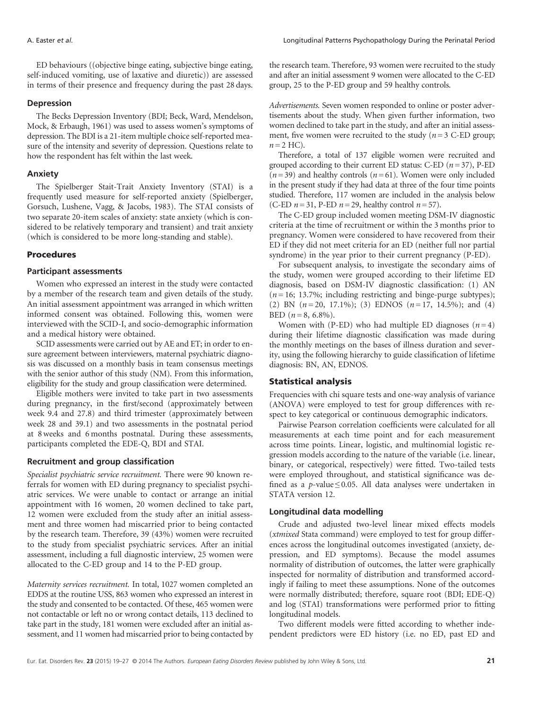ED behaviours ((objective binge eating, subjective binge eating, self-induced vomiting, use of laxative and diuretic)) are assessed in terms of their presence and frequency during the past 28 days.

#### Depression

The Becks Depression Inventory (BDI; Beck, Ward, Mendelson, Mock, & Erbaugh, 1961) was used to assess women's symptoms of depression. The BDI is a 21-item multiple choice self-reported measure of the intensity and severity of depression. Questions relate to how the respondent has felt within the last week.

#### Anxiety

The Spielberger Stait-Trait Anxiety Inventory (STAI) is a frequently used measure for self-reported anxiety (Spielberger, Gorsuch, Lushene, Vagg, & Jacobs, 1983). The STAI consists of two separate 20-item scales of anxiety: state anxiety (which is considered to be relatively temporary and transient) and trait anxiety (which is considered to be more long-standing and stable).

#### Procedures

#### Participant assessments

Women who expressed an interest in the study were contacted by a member of the research team and given details of the study. An initial assessment appointment was arranged in which written informed consent was obtained. Following this, women were interviewed with the SCID-I, and socio-demographic information and a medical history were obtained.

SCID assessments were carried out by AE and ET; in order to ensure agreement between interviewers, maternal psychiatric diagnosis was discussed on a monthly basis in team consensus meetings with the senior author of this study (NM). From this information, eligibility for the study and group classification were determined.

Eligible mothers were invited to take part in two assessments during pregnancy, in the first/second (approximately between week 9.4 and 27.8) and third trimester (approximately between week 28 and 39.1) and two assessments in the postnatal period at 8 weeks and 6 months postnatal. During these assessments, participants completed the EDE-Q, BDI and STAI.

#### Recruitment and group classification

Specialist psychiatric service recruitment. There were 90 known referrals for women with ED during pregnancy to specialist psychiatric services. We were unable to contact or arrange an initial appointment with 16 women, 20 women declined to take part, 12 women were excluded from the study after an initial assessment and three women had miscarried prior to being contacted by the research team. Therefore, 39 (43%) women were recruited to the study from specialist psychiatric services. After an initial assessment, including a full diagnostic interview, 25 women were allocated to the C-ED group and 14 to the P-ED group.

Maternity services recruitment. In total, 1027 women completed an EDDS at the routine USS, 863 women who expressed an interest in the study and consented to be contacted. Of these, 465 women were not contactable or left no or wrong contact details, 113 declined to take part in the study, 181 women were excluded after an initial assessment, and 11 women had miscarried prior to being contacted by

the research team. Therefore, 93 women were recruited to the study and after an initial assessment 9 women were allocated to the C-ED group, 25 to the P-ED group and 59 healthy controls.

Advertisements. Seven women responded to online or poster advertisements about the study. When given further information, two women declined to take part in the study, and after an initial assessment, five women were recruited to the study ( $n=3$  C-ED group;  $n = 2$  HC).

Therefore, a total of 137 eligible women were recruited and grouped according to their current ED status: C-ED  $(n=37)$ , P-ED  $(n= 39)$  and healthy controls  $(n= 61)$ . Women were only included in the present study if they had data at three of the four time points studied. Therefore, 117 women are included in the analysis below (C-ED  $n=31$ , P-ED  $n=29$ , healthy control  $n=57$ ).

The C-ED group included women meeting DSM-IV diagnostic criteria at the time of recruitment or within the 3 months prior to pregnancy. Women were considered to have recovered from their ED if they did not meet criteria for an ED (neither full nor partial syndrome) in the year prior to their current pregnancy (P-ED).

For subsequent analysis, to investigate the secondary aims of the study, women were grouped according to their lifetime ED diagnosis, based on DSM-IV diagnostic classification: (1) AN  $(n = 16; 13.7\%;$  including restricting and binge-purge subtypes); (2) BN  $(n=20, 17.1\%)$ ; (3) EDNOS  $(n=17, 14.5\%)$ ; and (4) BED  $(n = 8, 6.8\%)$ .

Women with (P-ED) who had multiple ED diagnoses  $(n=4)$ during their lifetime diagnostic classification was made during the monthly meetings on the bases of illness duration and severity, using the following hierarchy to guide classification of lifetime diagnosis: BN, AN, EDNOS.

#### Statistical analysis

Frequencies with chi square tests and one-way analysis of variance (ANOVA) were employed to test for group differences with respect to key categorical or continuous demographic indicators.

Pairwise Pearson correlation coefficients were calculated for all measurements at each time point and for each measurement across time points. Linear, logistic, and multinomial logistic regression models according to the nature of the variable (i.e. linear, binary, or categorical, respectively) were fitted. Two-tailed tests were employed throughout, and statistical significance was defined as a p-value  $\leq 0.05$ . All data analyses were undertaken in STATA version 12.

#### Longitudinal data modelling

Crude and adjusted two-level linear mixed effects models (xtmixed Stata command) were employed to test for group differences across the longitudinal outcomes investigated (anxiety, depression, and ED symptoms). Because the model assumes normality of distribution of outcomes, the latter were graphically inspected for normality of distribution and transformed accordingly if failing to meet these assumptions. None of the outcomes were normally distributed; therefore, square root (BDI; EDE-Q) and log (STAI) transformations were performed prior to fitting longitudinal models.

Two different models were fitted according to whether independent predictors were ED history (i.e. no ED, past ED and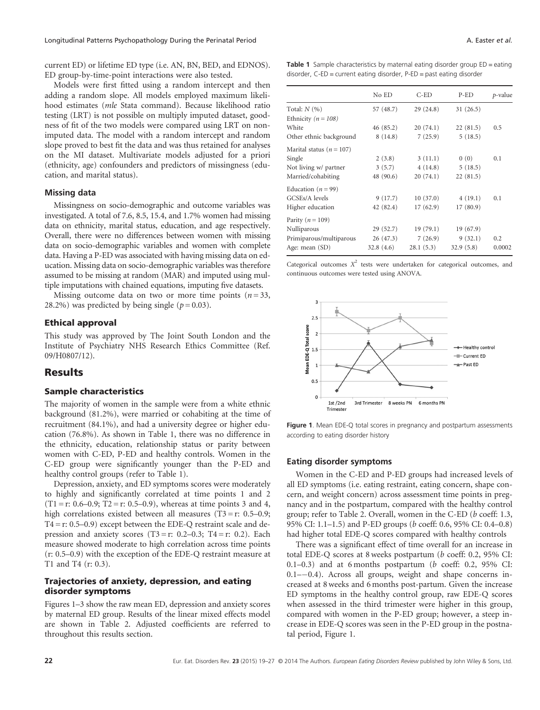current ED) or lifetime ED type (i.e. AN, BN, BED, and EDNOS). ED group-by-time-point interactions were also tested.

Models were first fitted using a random intercept and then adding a random slope. All models employed maximum likelihood estimates (mle Stata command). Because likelihood ratio testing (LRT) is not possible on multiply imputed dataset, goodness of fit of the two models were compared using LRT on nonimputed data. The model with a random intercept and random slope proved to best fit the data and was thus retained for analyses on the MI dataset. Multivariate models adjusted for a priori (ethnicity, age) confounders and predictors of missingness (education, and marital status).

#### Missing data

Missingness on socio-demographic and outcome variables was investigated. A total of 7.6, 8.5, 15.4, and 1.7% women had missing data on ethnicity, marital status, education, and age respectively. Overall, there were no differences between women with missing data on socio-demographic variables and women with complete data. Having a P-ED was associated with having missing data on education. Missing data on socio-demographic variables was therefore assumed to be missing at random (MAR) and imputed using multiple imputations with chained equations, imputing five datasets.

Missing outcome data on two or more time points ( $n = 33$ , 28.2%) was predicted by being single ( $p = 0.03$ ).

#### Ethical approval

This study was approved by The Joint South London and the Institute of Psychiatry NHS Research Ethics Committee (Ref. 09/H0807/12).

### Results

# Sample characteristics

The majority of women in the sample were from a white ethnic background (81.2%), were married or cohabiting at the time of recruitment (84.1%), and had a university degree or higher education (76.8%). As shown in Table 1, there was no difference in the ethnicity, education, relationship status or parity between women with C-ED, P-ED and healthy controls. Women in the C-ED group were significantly younger than the P-ED and healthy control groups (refer to Table 1).

Depression, anxiety, and ED symptoms scores were moderately to highly and significantly correlated at time points 1 and 2  $(T_1 = r: 0.6-0.9; T_2 = r: 0.5-0.9)$ , whereas at time points 3 and 4, high correlations existed between all measures (T3 = r: 0.5–0.9;  $T4 = r: 0.5{\text -}0.9$  except between the EDE-Q restraint scale and depression and anxiety scores  $(T3 = r: 0.2 - 0.3; T4 = r: 0.2)$ . Each measure showed moderate to high correlation across time points (r: 0.5–0.9) with the exception of the EDE-Q restraint measure at T1 and T4 (r: 0.3).

### Trajectories of anxiety, depression, and eating disorder symptoms

Figures 1–3 show the raw mean ED, depression and anxiety scores by maternal ED group. Results of the linear mixed effects model are shown in Table 2. Adjusted coefficients are referred to throughout this results section.

**Table 1** Sample characteristics by maternal eating disorder group  $ED =$  eating disorder, C-ED = current eating disorder, P-ED = past eating disorder

|                              | No ED     | $C$ -ED   | P-ED      | $p$ -value |
|------------------------------|-----------|-----------|-----------|------------|
| Total: $N$ $(\% )$           | 57 (48.7) | 29(24.8)  | 31(26.5)  |            |
| Ethnicity ( $n = 108$ )      |           |           |           |            |
| White                        | 46(85.2)  | 20(74.1)  | 22(81.5)  | 0.5        |
| Other ethnic background      | 8(14.8)   | 7(25.9)   | 5(18.5)   |            |
| Marital status ( $n = 107$ ) |           |           |           |            |
| Single                       | 2(3.8)    | 3(11.1)   | 0(0)      | 0.1        |
| Not living w/ partner        | 3(5.7)    | 4(14.8)   | 5(18.5)   |            |
| Married/cohabiting           | 48 (90.6) | 20(74.1)  | 22(81.5)  |            |
| Education ( $n = 99$ )       |           |           |           |            |
| GCSEs/A levels               | 9(17.7)   | 10(37.0)  | 4(19.1)   | 0.1        |
| Higher education             | 42 (82.4) | 17(62.9)  | 17(80.9)  |            |
| Parity ( $n = 109$ )         |           |           |           |            |
| Nulliparous                  | 29(52.7)  | 19(79.1)  | 19(67.9)  |            |
| Primiparous/multiparous      | 26(47.3)  | 7(26.9)   | 9(32.1)   | 0.2        |
| Age: mean (SD)               | 32.8(4.6) | 28.1(5.3) | 32.9(5.8) | 0.0002     |

Categorical outcomes  $X^2$  tests were undertaken for categorical outcomes, and continuous outcomes were tested using ANOVA.



Figure 1. Mean EDE-Q total scores in pregnancy and postpartum assessments according to eating disorder history

#### Eating disorder symptoms

Women in the C-ED and P-ED groups had increased levels of all ED symptoms (i.e. eating restraint, eating concern, shape concern, and weight concern) across assessment time points in pregnancy and in the postpartum, compared with the healthy control group; refer to Table 2. Overall, women in the C-ED (b coeff: 1.3, 95% CI: 1.1–1.5) and P-ED groups (b coeff: 0.6, 95% CI: 0.4–0.8) had higher total EDE-Q scores compared with healthy controls

There was a significant effect of time overall for an increase in total EDE-Q scores at 8 weeks postpartum (b coeff: 0.2, 95% CI: 0.1–0.3) and at 6 months postpartum  $(b \text{ coeff: } 0.2, 95\% \text{ CI: }$  $0.1--0.4$ ). Across all groups, weight and shape concerns increased at 8 weeks and 6 months post-partum. Given the increase ED symptoms in the healthy control group, raw EDE-Q scores when assessed in the third trimester were higher in this group, compared with women in the P-ED group; however, a steep increase in EDE-Q scores was seen in the P-ED group in the postnatal period, Figure 1.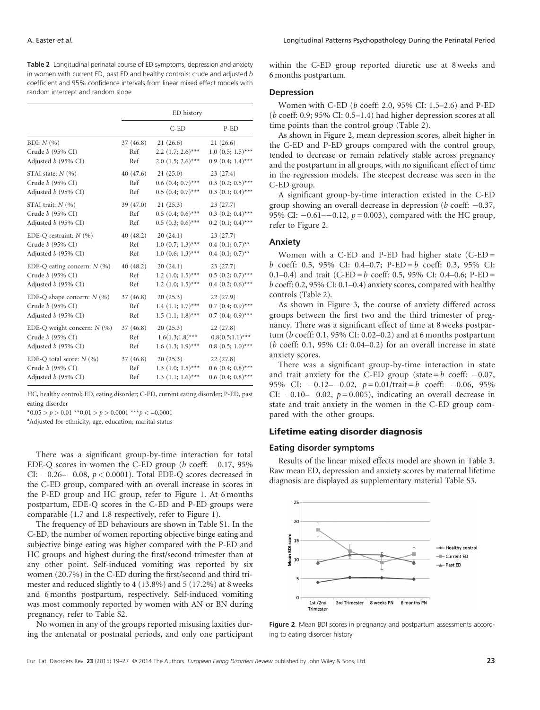A. Easter et al. Longitudinal Patterns Psychopathology During the Perinatal Period

Table 2 Longitudinal perinatal course of ED symptoms, depression and anxiety in women with current ED, past ED and healthy controls: crude and adjusted b coefficient and 95% confidence intervals from linear mixed effect models with random intercept and random slope

|                               |           | ED history             |                                  |  |  |
|-------------------------------|-----------|------------------------|----------------------------------|--|--|
|                               |           | $C$ -ED                | P-ED                             |  |  |
| BDI: $N(%$                    | 37(46.8)  | 21(26.6)               | 21(26.6)                         |  |  |
| Crude $b$ (95% CI)            | Ref       | 2.2 $(1.7; 2.6)$ ***   | $1.0$ (0.5; 1.5)***              |  |  |
| Adjusted b (95% CI)           | Ref       | $2.0$ $(1.5; 2.6)$ *** | $0.9(0.4; 1.4)$ ***              |  |  |
| STAI state: $N$ (%)           | 40(47.6)  | 21(25.0)               | 23 (27.4)                        |  |  |
| Crude $b$ (95% CI)            | Ref       | $0.6$ $(0.4; 0.7)$ *** | $0.3$ $(0.2; 0.5)$ ***           |  |  |
| Adjusted $b$ (95% CI)         | Ref       | $0.5(0.4; 0.7)$ ***    | $0.3$ $(0.1; 0.4)$ ***           |  |  |
| STAI trait: $N$ (%)           | 39 (47.0) | 21(25.3)               | 23(27.7)                         |  |  |
| Crude b (95% CI)              | Ref       | $0.5(0.4; 0.6)$ ***    | $0.3$ $(0.2; 0.4)$ ***           |  |  |
| Adjusted $b$ (95% CI)         | Ref       | $0.5(0.3; 0.6)$ ***    | $0.2$ $(0.1; 0.4)$ ***           |  |  |
| EDE-Q restraint: $N$ (%)      | 40(48.2)  | 20(24.1)               | 23(27.7)                         |  |  |
| Crude $b$ (95% CI)            | Ref       | $1.0$ $(0.7; 1.3)$ *** | $0.4$ $(0.1; 0.7)$ <sup>**</sup> |  |  |
| Adjusted $b$ (95% CI)         | Ref       | $1.0$ $(0.6; 1.3)$ *** | $0.4$ $(0.1; 0.7)$ <sup>**</sup> |  |  |
| EDE-Q eating concern: $N$ (%) | 40(48.2)  | 20(24.1)               | 23(27.7)                         |  |  |
| Crude $b$ (95% CI)            | Ref       | 1.2 $(1.0; 1.5)$ ***   | $0.5$ $(0.2; 0.7)$ ***           |  |  |
| Adjusted $b$ (95% CI)         | Ref       | $1.2$ $(1.0; 1.5)$ *** | $0.4$ $(0.2; 0.6)$ ***           |  |  |
| EDE-Q shape concern: $N$ (%)  | 37(46.8)  | 20(25.3)               | 22(27.9)                         |  |  |
| Crude $b$ (95% CI)            | Ref       | 1.4 $(1.1; 1.7)$ ***   | $0.7(0.4; 0.9)$ ***              |  |  |
| Adjusted $b$ (95% CI)         | Ref       | $1.5(1.1; 1.8)$ ***    | $0.7(0.4; 0.9)$ ***              |  |  |
| EDE-Q weight concern: $N$ (%) | 37(46.8)  | 20(25.3)               | 22(27.8)                         |  |  |
| Crude $b$ (95% CI)            | Ref       | $1.6(1.3;1.8)$ ***     | $0.8(0.5;1.1)^{***}$             |  |  |
| Adjusted $b$ (95% CI)         | Ref       | $1.6$ $(1.3; 1.9)$ *** | $0.8$ $(0.5; 1.0)$ ***           |  |  |
| EDE-Q total score: $N$ (%)    | 37(46.8)  | 20(25.3)               | 22 (27.8)                        |  |  |
| Crude $b$ (95% CI)            | Ref       | $1.3$ $(1.0; 1.5)$ *** | $0.6$ $(0.4; 0.8)$ ***           |  |  |
| Adjusted $b$ (95% CI)         | Ref       | 1.3 $(1.1; 1.6)$ ***   | $0.6$ $(0.4; 0.8)$ ***           |  |  |

HC, healthy control; ED, eating disorder; C-ED, current eating disorder; P-ED, past eating disorder

 $*0.05 > p > 0.01$   $**0.01 > p > 0.0001$   $**p < 0.0001$ 

<sup>a</sup>Adjusted for ethnicity, age, education, marital status

There was a significant group-by-time interaction for total EDE-Q scores in women the C-ED group ( $b$  coeff:  $-0.17$ , 95% CI:  $-0.26 - 0.08$ ,  $p < 0.0001$ ). Total EDE-Q scores decreased in the C-ED group, compared with an overall increase in scores in the P-ED group and HC group, refer to Figure 1. At 6 months postpartum, EDE-Q scores in the C-ED and P-ED groups were comparable (1.7 and 1.8 respectively, refer to Figure 1).

The frequency of ED behaviours are shown in Table S1. In the C-ED, the number of women reporting objective binge eating and subjective binge eating was higher compared with the P-ED and HC groups and highest during the first/second trimester than at any other point. Self-induced vomiting was reported by six women (20.7%) in the C-ED during the first/second and third trimester and reduced slightly to 4 (13.8%) and 5 (17.2%) at 8 weeks and 6 months postpartum, respectively. Self-induced vomiting was most commonly reported by women with AN or BN during pregnancy, refer to Table S2.

No women in any of the groups reported misusing laxities during the antenatal or postnatal periods, and only one participant

within the C-ED group reported diuretic use at 8 weeks and 6 months postpartum.

#### Depression

Women with C-ED (b coeff: 2.0, 95% CI: 1.5–2.6) and P-ED  $(b \text{ coeff: } 0.9; 95\% \text{ CI: } 0.5-1.4)$  had higher depression scores at all time points than the control group (Table 2).

As shown in Figure 2, mean depression scores, albeit higher in the C-ED and P-ED groups compared with the control group, tended to decrease or remain relatively stable across pregnancy and the postpartum in all groups, with no significant effect of time in the regression models. The steepest decrease was seen in the C-ED group.

A significant group-by-time interaction existed in the C-ED group showing an overall decrease in depression ( $b$  coeff:  $-0.37$ , 95% CI:  $-0.61 - 0.12$ ,  $p = 0.003$ ), compared with the HC group, refer to Figure 2.

#### Anxiety

Women with a C-ED and P-ED had higher state (C-ED = b coeff: 0.5, 95% CI: 0.4–0.7; P-ED = b coeff: 0.3, 95% CI: 0.1–0.4) and trait (C-ED = b coeff: 0.5, 95% CI: 0.4–0.6; P-ED = b coeff: 0.2, 95% CI: 0.1–0.4) anxiety scores, compared with healthy controls (Table 2).

As shown in Figure 3, the course of anxiety differed across groups between the first two and the third trimester of pregnancy. There was a significant effect of time at 8 weeks postpartum (b coeff: 0.1, 95% CI: 0.02–0.2) and at 6 months postpartum  $(b \text{ coeff: } 0.1, 95\% \text{ CI: } 0.04-0.2)$  for an overall increase in state anxiety scores.

There was a significant group-by-time interaction in state and trait anxiety for the C-ED group (state =  $b$  coeff:  $-0.07$ , 95% CI:  $-0.12 - 0.02$ ,  $p = 0.01/\text{trait} = b$  coeff:  $-0.06$ , 95% CI:  $-0.10 - -0.02$ ,  $p = 0.005$ ), indicating an overall decrease in state and trait anxiety in the women in the C-ED group compared with the other groups.

#### Lifetime eating disorder diagnosis

#### Eating disorder symptoms

Results of the linear mixed effects model are shown in Table 3. Raw mean ED, depression and anxiety scores by maternal lifetime diagnosis are displayed as supplementary material Table S3.



Figure 2. Mean BDI scores in pregnancy and postpartum assessments according to eating disorder history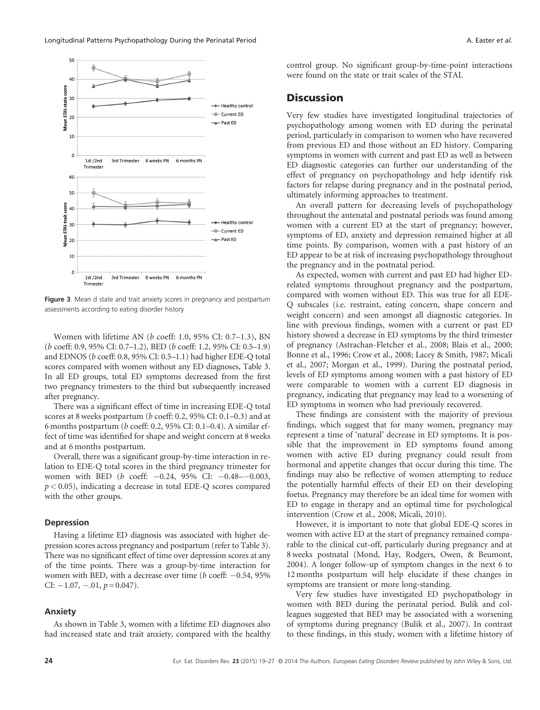

Figure 3. Mean d state and trait anxiety scores in pregnancy and postpartum assessments according to eating disorder history

Women with lifetime AN (b coeff: 1.0, 95% CI: 0.7–1.3), BN (b coeff: 0.9, 95% CI: 0.7–1.2), BED (b coeff: 1.2, 95% CI: 0.5–1.9) and EDNOS (b coeff: 0.8, 95% CI: 0.5–1.1) had higher EDE-Q total scores compared with women without any ED diagnoses, Table 3. In all ED groups, total ED symptoms decreased from the first two pregnancy trimesters to the third but subsequently increased after pregnancy.

There was a significant effect of time in increasing EDE-Q total scores at 8 weeks postpartum (b coeff: 0.2, 95% CI: 0.1-0.3) and at 6 months postpartum (b coeff: 0.2, 95% CI: 0.1–0.4). A similar effect of time was identified for shape and weight concern at 8 weeks and at 6 months postpartum.

Overall, there was a significant group-by-time interaction in relation to EDE-Q total scores in the third pregnancy trimester for women with BED ( $b$  coeff:  $-0.24$ , 95% CI:  $-0.48$ - $-0.003$ ,  $p < 0.05$ ), indicating a decrease in total EDE-Q scores compared with the other groups.

#### Depression

Having a lifetime ED diagnosis was associated with higher depression scores across pregnancy and postpartum (refer to Table 3). There was no significant effect of time over depression scores at any of the time points. There was a group-by-time interaction for women with BED, with a decrease over time ( $b$  coeff:  $-0.54$ , 95% CI:  $-1.07, -0.01, p= 0.047$ .

#### Anxiety

As shown in Table 3, women with a lifetime ED diagnoses also had increased state and trait anxiety, compared with the healthy

control group. No significant group-by-time-point interactions were found on the state or trait scales of the STAI.

#### Discussion

Very few studies have investigated longitudinal trajectories of psychopathology among women with ED during the perinatal period, particularly in comparison to women who have recovered from previous ED and those without an ED history. Comparing symptoms in women with current and past ED as well as between ED diagnostic categories can further our understanding of the effect of pregnancy on psychopathology and help identify risk factors for relapse during pregnancy and in the postnatal period, ultimately informing approaches to treatment.

An overall pattern for decreasing levels of psychopathology throughout the antenatal and postnatal periods was found among women with a current ED at the start of pregnancy; however, symptoms of ED, anxiety and depression remained higher at all time points. By comparison, women with a past history of an ED appear to be at risk of increasing psychopathology throughout the pregnancy and in the postnatal period.

As expected, women with current and past ED had higher EDrelated symptoms throughout pregnancy and the postpartum, compared with women without ED. This was true for all EDE-Q subscales (i.e. restraint, eating concern, shape concern and weight concern) and seen amongst all diagnostic categories. In line with previous findings, women with a current or past ED history showed a decrease in ED symptoms by the third trimester of pregnancy (Astrachan-Fletcher et al., 2008; Blais et al., 2000; Bonne et al., 1996; Crow et al., 2008; Lacey & Smith, 1987; Micali et al., 2007; Morgan et al., 1999). During the postnatal period, levels of ED symptoms among women with a past history of ED were comparable to women with a current ED diagnosis in pregnancy, indicating that pregnancy may lead to a worsening of ED symptoms in women who had previously recovered.

These findings are consistent with the majority of previous findings, which suggest that for many women, pregnancy may represent a time of 'natural' decrease in ED symptoms. It is possible that the improvement in ED symptoms found among women with active ED during pregnancy could result from hormonal and appetite changes that occur during this time. The findings may also be reflective of women attempting to reduce the potentially harmful effects of their ED on their developing foetus. Pregnancy may therefore be an ideal time for women with ED to engage in therapy and an optimal time for psychological intervention (Crow et al., 2008; Micali, 2010).

However, it is important to note that global EDE-Q scores in women with active ED at the start of pregnancy remained comparable to the clinical cut-off, particularly during pregnancy and at 8 weeks postnatal (Mond, Hay, Rodgers, Owen, & Beumont, 2004). A longer follow-up of symptom changes in the next 6 to 12 months postpartum will help elucidate if these changes in symptoms are transient or more long-standing.

Very few studies have investigated ED psychopathology in women with BED during the perinatal period. Bulik and colleagues suggested that BED may be associated with a worsening of symptoms during pregnancy (Bulik et al., 2007). In contrast to these findings, in this study, women with a lifetime history of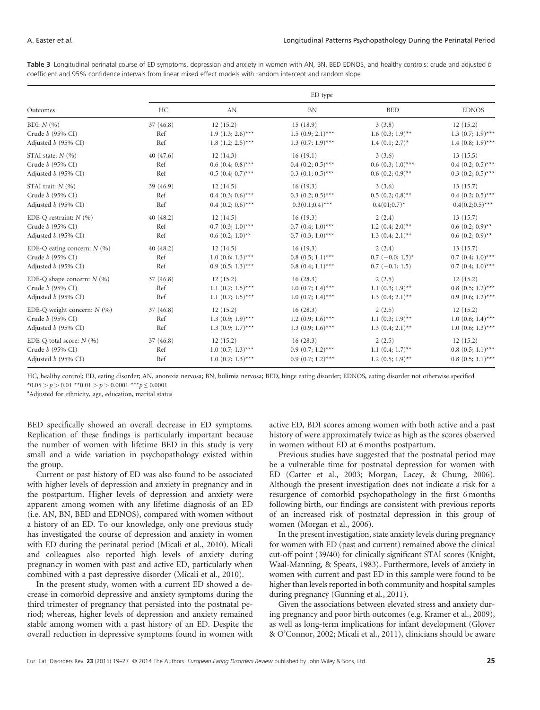| Outcomes                      | ED type   |                        |                          |                                |                         |  |
|-------------------------------|-----------|------------------------|--------------------------|--------------------------------|-------------------------|--|
|                               | HC        | AN                     | <b>BN</b>                | <b>BED</b>                     | <b>EDNOS</b>            |  |
| BDI: $N$ $(\% )$              | 37(46.8)  | 12(15.2)               | 15(18.9)                 | 3(3.8)                         | 12(15.2)                |  |
| Crude $b$ (95% CI)            | Ref       | 1.9 $(1.3; 2.6)$ ***   | $1.5$ $(0.9; 2.1)$ ***   | 1.6 $(0.3; 1.9)^{**}$          | 1.3 $(0.7; 1.9)$ ***    |  |
| Adjusted $b$ (95% CI)         | Ref       | 1.8 $(1.2; 2.5)$ ***   | 1.3 $(0.7; 1.9)$ ***     | $1.4(0.1; 2.7)^*$              | 1.4 $(0.8; 1.9)$ ***    |  |
| STAI state: $N$ (%)           | 40(47.6)  | 12(14.3)               | 16(19.1)                 | 3(3.6)                         | 13(15.5)                |  |
| Crude $b$ (95% CI)            | Ref       | $0.6$ $(0.4; 0.8)$ *** | $0.4$ $(0.2; 0.5)$ ***   | $0.6$ $(0.3; 1.0)$ ***         | $0.4$ $(0.2; 0.5)$ ***  |  |
| Adjusted $b$ (95% CI)         | Ref       | $0.5(0.4; 0.7)$ ***    | $0.3$ $(0.1; 0.5)$ ***   | $0.6$ $(0.2; 0.9)^{**}$        | $0.3$ $(0.2; 0.5)$ ***  |  |
| STAI trait: $N$ (%)           | 39(46.9)  | 12(14.5)               | 16(19.3)                 | 3(3.6)                         | 13(15.7)                |  |
| Crude $b$ (95% CI)            | Ref       | $0.4$ $(0.3; 0.6)$ *** | $0.3$ $(0.2; 0.5)$ ***   | $0.5$ $(0.2; 0.8)$ **          | $0.4$ $(0.2; 0.5)$ ***  |  |
| Adjusted $b$ (95% CI)         | Ref       | $0.4$ $(0.2; 0.6)$ *** | $0.3(0.1;0.4)$ ***       | $0.4(01;0.7)^*$                | $0.4(0.2;0.5)$ ***      |  |
| EDE-O restraint: $N$ (%)      | 40(48.2)  | 12(14.5)               | 16(19.3)                 | 2(2.4)                         | 13(15.7)                |  |
| Crude $b$ (95% CI)            | Ref       | $0.7(0.3; 1.0)$ ***    | $0.7(0.4; 1.0)$ ***      | 1.2 $(0.4; 2.0)$ **            | $0.6$ $(0.2; 0.9)^{**}$ |  |
| Adjusted $b$ (95% CI)         | Ref       | $0.6(0.2; 1.0)^{**}$   | $0.7(0.3; 1.0)$ ***      | 1.3 $(0.4; 2.1)$ **            | $0.6$ $(0.2; 0.9)^{**}$ |  |
| EDE-Q eating concern: $N$ (%) | 40(48.2)  | 12(14.5)               | 16(19.3)                 | 2(2.4)                         | 13(15.7)                |  |
| Crude $b$ (95% CI)            | Ref       | $1.0$ $(0.6; 1.3)$ *** | $0.8$ $(0.5; 1.1)^{***}$ | $0.7$ $(-0.0; 1.5)^*$          | $0.7(0.4; 1.0)$ ***     |  |
| Adjusted $b$ (95% CI)         | Ref       | $0.9(0.5; 1.3)$ ***    | $0.8(0.4; 1.1)$ ***      | $0.7(-0.1; 1.5)$               | $0.7(0.4; 1.0)$ ***     |  |
| EDE-Q shape concern: N (%)    | 37(46.8)  | 12(15.2)               | 16(28.3)                 | 2(2.5)                         | 12(15.2)                |  |
| Crude $b$ (95% CI)            | Ref       | 1.1 $(0.7; 1.5)^{***}$ | $1.0$ $(0.7; 1.4)$ ***   | 1.1 $(0.3; 1.9)^{**}$          | $0.8$ $(0.5; 1.2)$ ***  |  |
| Adjusted $b$ (95% CI)         | Ref       | 1.1 $(0.7; 1.5)$ ***   | $1.0$ $(0.7; 1.4)$ ***   | 1.3 $(0.4; 2.1)$ **            | $0.9(0.6; 1.2)$ ***     |  |
| EDE-Q weight concern: $N$ (%) | 37 (46.8) | 12(15.2)               | 16(28.3)                 | 2(2.5)                         | 12(15.2)                |  |
| Crude $b$ (95% CI)            | Ref       | 1.3 $(0.9; 1.9)$ ***   | 1.2 $(0.9; 1.6)$ ***     | 1.1 $(0.3; 1.9)^{**}$          | $1.0$ $(0.6; 1.4)$ ***  |  |
| Adjusted $b$ (95% CI)         | Ref       | 1.3 $(0.9; 1.7)$ ***   | 1.3 $(0.9; 1.6)$ ***     | 1.3 $(0.4; 2.1)$ **            | $1.0$ $(0.6; 1.3)$ ***  |  |
| EDE-Q total score: $N$ (%)    | 37(46.8)  | 12(15.2)               | 16(28.3)                 | 2(2.5)                         | 12(15.2)                |  |
| Crude $b$ (95% CI)            | Ref       | $1.0$ $(0.7; 1.3)$ *** | $0.9(0.7; 1.2)$ ***      | 1.1 $(0.4; 1.7)$ <sup>**</sup> | $0.8$ $(0.5; 1.1)$ ***  |  |
| Adjusted $b$ (95% CI)         | Ref       | $1.0$ $(0.7; 1.3)$ *** | $0.9(0.7; 1.2)$ ***      | 1.2 $(0.5; 1.9)^{**}$          | $0.8$ $(0.5; 1.1)$ ***  |  |
|                               |           |                        |                          |                                |                         |  |

Table 3 Longitudinal perinatal course of ED symptoms, depression and anxiety in women with AN, BN, BED EDNOS, and healthy controls: crude and adjusted b coefficient and 95% confidence intervals from linear mixed effect models with random intercept and random slope

HC, healthy control; ED, eating disorder; AN, anorexia nervosa; BN, bulimia nervosa; BED, binge eating disorder; EDNOS, eating disorder not otherwise specified \* $0.05 > p > 0.01$ \*\* $0.01 > p > 0.0001$ \*\*\* $p \le 0.0001$ 

<sup>a</sup>Adjusted for ethnicity, age, education, marital status

BED specifically showed an overall decrease in ED symptoms. Replication of these findings is particularly important because the number of women with lifetime BED in this study is very small and a wide variation in psychopathology existed within the group.

Current or past history of ED was also found to be associated with higher levels of depression and anxiety in pregnancy and in the postpartum. Higher levels of depression and anxiety were apparent among women with any lifetime diagnosis of an ED (i.e. AN, BN, BED and EDNOS), compared with women without a history of an ED. To our knowledge, only one previous study has investigated the course of depression and anxiety in women with ED during the perinatal period (Micali et al., 2010). Micali and colleagues also reported high levels of anxiety during pregnancy in women with past and active ED, particularly when combined with a past depressive disorder (Micali et al., 2010).

In the present study, women with a current ED showed a decrease in comorbid depressive and anxiety symptoms during the third trimester of pregnancy that persisted into the postnatal period; whereas, higher levels of depression and anxiety remained stable among women with a past history of an ED. Despite the overall reduction in depressive symptoms found in women with active ED, BDI scores among women with both active and a past history of were approximately twice as high as the scores observed in women without ED at 6 months postpartum.

Previous studies have suggested that the postnatal period may be a vulnerable time for postnatal depression for women with ED (Carter et al., 2003; Morgan, Lacey, & Chung, 2006). Although the present investigation does not indicate a risk for a resurgence of comorbid psychopathology in the first 6 months following birth, our findings are consistent with previous reports of an increased risk of postnatal depression in this group of women (Morgan et al., 2006).

In the present investigation, state anxiety levels during pregnancy for women with ED (past and current) remained above the clinical cut-off point (39/40) for clinically significant STAI scores (Knight, Waal-Manning, & Spears, 1983). Furthermore, levels of anxiety in women with current and past ED in this sample were found to be higher than levels reported in both community and hospital samples during pregnancy (Gunning et al., 2011).

Given the associations between elevated stress and anxiety during pregnancy and poor birth outcomes (e.g. Kramer et al., 2009), as well as long-term implications for infant development (Glover & O'Connor, 2002; Micali et al., 2011), clinicians should be aware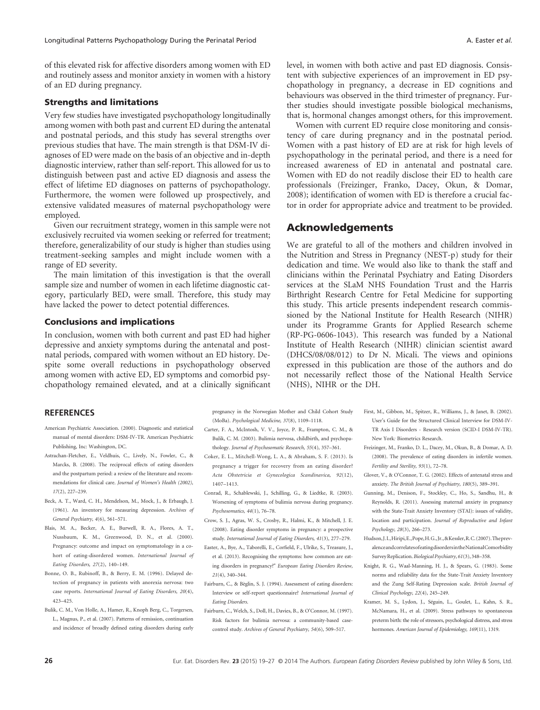of this elevated risk for affective disorders among women with ED and routinely assess and monitor anxiety in women with a history of an ED during pregnancy.

#### Strengths and limitations

Very few studies have investigated psychopathology longitudinally among women with both past and current ED during the antenatal and postnatal periods, and this study has several strengths over previous studies that have. The main strength is that DSM-IV diagnoses of ED were made on the basis of an objective and in-depth diagnostic interview, rather than self-report. This allowed for us to distinguish between past and active ED diagnosis and assess the effect of lifetime ED diagnoses on patterns of psychopathology. Furthermore, the women were followed up prospectively, and extensive validated measures of maternal psychopathology were employed.

Given our recruitment strategy, women in this sample were not exclusively recruited via women seeking or referred for treatment; therefore, generalizability of our study is higher than studies using treatment-seeking samples and might include women with a range of ED severity.

The main limitation of this investigation is that the overall sample size and number of women in each lifetime diagnostic category, particularly BED, were small. Therefore, this study may have lacked the power to detect potential differences.

#### Conclusions and implications

In conclusion, women with both current and past ED had higher depressive and anxiety symptoms during the antenatal and postnatal periods, compared with women without an ED history. Despite some overall reductions in psychopathology observed among women with active ED, ED symptoms and comorbid psychopathology remained elevated, and at a clinically significant

#### level, in women with both active and past ED diagnosis. Consistent with subjective experiences of an improvement in ED psychopathology in pregnancy, a decrease in ED cognitions and behaviours was observed in the third trimester of pregnancy. Further studies should investigate possible biological mechanisms, that is, hormonal changes amongst others, for this improvement.

Women with current ED require close monitoring and consistency of care during pregnancy and in the postnatal period. Women with a past history of ED are at risk for high levels of psychopathology in the perinatal period, and there is a need for increased awareness of ED in antenatal and postnatal care. Women with ED do not readily disclose their ED to health care professionals (Freizinger, Franko, Dacey, Okun, & Domar, 2008); identification of women with ED is therefore a crucial factor in order for appropriate advice and treatment to be provided.

## Acknowledgements

We are grateful to all of the mothers and children involved in the Nutrition and Stress in Pregnancy (NEST-p) study for their dedication and time. We would also like to thank the staff and clinicians within the Perinatal Psychiatry and Eating Disorders services at the SLaM NHS Foundation Trust and the Harris Birthright Research Centre for Fetal Medicine for supporting this study. This article presents independent research commissioned by the National Institute for Health Research (NIHR) under its Programme Grants for Applied Research scheme (RP-PG-0606-1043). This research was funded by a National Institute of Health Research (NIHR) clinician scientist award (DHCS/08/08/012) to Dr N. Micali. The views and opinions expressed in this publication are those of the authors and do not necessarily reflect those of the National Health Service (NHS), NIHR or the DH.

#### **REFERENCES**

- American Psychiatric Association. (2000). Diagnostic and statistical manual of mental disorders: DSM-IV-TR. American Psychiatric Publishing, Inc: Washington, DC.
- Astrachan-Fletcher, E., Veldhuis, C., Lively, N., Fowler, C., & Marcks, B. (2008). The reciprocal effects of eating disorders and the postpartum period: a review of the literature and recommendations for clinical care. Journal of Women's Health (2002), 17(2), 227–239.
- Beck, A. T., Ward, C. H., Mendelson, M., Mock, J., & Erbaugh, J. (1961). An inventory for measuring depression. Archives of General Psychiatry, 4(6), 561–571.
- Blais, M. A., Becker, A. E., Burwell, R. A., Flores, A. T., Nussbaum, K. M., Greenwood, D. N., et al. (2000). Pregnancy: outcome and impact on symptomatology in a cohort of eating-disordered women. International Journal of Eating Disorders, 27(2), 140–149.
- Bonne, O. B., Rubinoff, B., & Berry, E. M. (1996). Delayed detection of pregnancy in patients with anorexia nervosa: two case reports. International Journal of Eating Disorders, 20(4), 423–425.
- Bulik, C. M., Von Holle, A., Hamer, R., Knoph Berg, C., Torgersen, L., Magnus, P., et al. (2007). Patterns of remission, continuation and incidence of broadly defined eating disorders during early

pregnancy in the Norwegian Mother and Child Cohort Study (MoBa). Psychological Medicine, 37(8), 1109–1118.

- Carter, F. A., McIntosh, V. V., Joyce, P. R., Frampton, C. M., & Bulik, C. M. (2003). Bulimia nervosa, childbirth, and psychopathology. Journal of Psychosomatic Research, 55(4), 357–361.
- Coker, E. L., Mitchell-Wong, L. A., & Abraham, S. F. (2013). Is pregnancy a trigger for recovery from an eating disorder? Acta Obstetricia et Gynecologica Scandinavica, 92(12), 1407–1413.
- Conrad, R., Schablewski, J., Schilling, G., & Liedtke, R. (2003). Worsening of symptoms of bulimia nervosa during pregnancy. Psychosomatics, 44(1), 76–78.
- Crow, S. J., Agras, W. S., Crosby, R., Halmi, K., & Mitchell, J. E. (2008). Eating disorder symptoms in pregnancy: a prospective study. International Journal of Eating Disorders, 41(3), 277–279.
- Easter, A., Bye, A., Taborelli, E., Corfield, F., Ulrike, S., Treasure, J., et al. (2013). Recognising the symptoms: how common are eating disorders in pregnancy?" European Eating Disorders Review, 21(4), 340–344.
- Fairburn, C., & Bèglin, S. J. (1994). Assessment of eating disorders: Interview or self-report questionnaire? International Journal of Eating Disorders.
- Fairburn, C., Welch, S., Doll, H., Davies, B., & O'Connor, M. (1997). Risk factors for bulimia nervosa: a community-based casecontrol study. Archives of General Psychiatry, 54(6), 509–517.
- First, M., Gibbon, M., Spitzer, R., Williams, J., & Janet, B. (2002). User's Guide for the Structured Clinical Interview for DSM-IV-TR Axis I Disorders - Research version (SCID-I DSM-IV-TR). New York: Biometrics Research.
- Freizinger, M., Franko, D. L., Dacey, M., Okun, B., & Domar, A. D. (2008). The prevalence of eating disorders in infertile women. Fertility and Sterility, 93(1), 72–78.
- Glover, V., & O'Connor, T. G. (2002). Effects of antenatal stress and anxiety. The British Journal of Psychiatry, 180(5), 389–391.
- Gunning, M., Denison, F., Stockley, C., Ho, S., Sandhu, H., & Reynolds, R. (2011). Assessing maternal anxiety in pregnancy with the State-Trait Anxiety Inventory (STAI): issues of validity, location and participation. Journal of Reproductive and Infant Psychology, 28(3), 266–273.
- Hudson,J.I.,Hiripi,E.,Pope,H.G., Jr.,&Kessler,R.C.(2007).TheprevalenceandcorrelatesofeatingdisordersintheNationalComorbidity Survey Replication.Biological Psychiatry, 61(3), 348–358.
- Knight, R. G., Waal-Manning, H. J., & Spears, G. (1983). Some norms and reliability data for the State-Trait Anxiety Inventory and the Zung Self-Rating Depression scale. British Journal of Clinical Psychology, 22(4), 245–249.
- Kramer, M. S., Lydon, J., Séguin, L., Goulet, L., Kahn, S. R., McNamara, H., et al. (2009). Stress pathways to spontaneous preterm birth: the role of stressors, psychological distress, and stress hormones. American Journal of Epidemiology, 169(11), 1319.